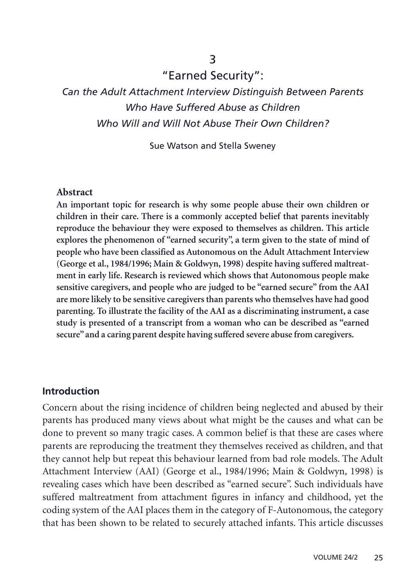# 3 "Earned Security":

# *Can the Adult Attachment Interview Distinguish Between Parents Who Have Suffered Abuse as Children Who Will and Will Not Abuse Their Own Children?*

Sue Watson and Stella Sweney

#### **Abstract**

**An important topic for research is why some people abuse their own children or children in their care. There is a commonly accepted belief that parents inevitably reproduce the behaviour they were exposed to themselves as children. This article explores the phenomenon of "earned security", a term given to the state of mind of people who have been classified as Autonomous on the Adult Attachment Interview (George et al., 1984/1996; Main & Goldwyn, 1998) despite having suffered maltreatment in early life. Research is reviewed which shows that Autonomous people make sensitive caregivers, and people who are judged to be "earned secure" from the AAI are more likely to be sensitive caregivers than parents who themselves have had good parenting. To illustrate the facility of the AAI as a discriminating instrument, a case study is presented of a transcript from a woman who can be described as "earned secure" and a caring parent despite having suffered severe abuse from caregivers.**

#### **Introduction**

Concern about the rising incidence of children being neglected and abused by their parents has produced many views about what might be the causes and what can be done to prevent so many tragic cases. A common belief is that these are cases where parents are reproducing the treatment they themselves received as children, and that they cannot help but repeat this behaviour learned from bad role models. The Adult Attachment Interview (AAI) (George et al., 1984/1996; Main & Goldwyn, 1998) is revealing cases which have been described as "earned secure". Such individuals have suffered maltreatment from attachment figures in infancy and childhood, yet the coding system of the AAI places them in the category of F-Autonomous, the category that has been shown to be related to securely attached infants. This article discusses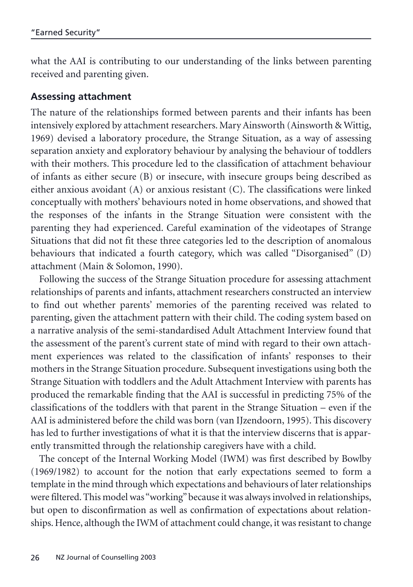what the AAI is contributing to our understanding of the links between parenting received and parenting given.

#### **Assessing attachment**

The nature of the relationships formed between parents and their infants has been intensively explored by attachment researchers. Mary Ainsworth (Ainsworth & Wittig, 1969) devised a laboratory procedure, the Strange Situation, as a way of assessing separation anxiety and exploratory behaviour by analysing the behaviour of toddlers with their mothers. This procedure led to the classification of attachment behaviour of infants as either secure (B) or insecure, with insecure groups being described as either anxious avoidant (A) or anxious resistant (C). The classifications were linked conceptually with mothers' behaviours noted in home observations, and showed that the responses of the infants in the Strange Situation were consistent with the parenting they had experienced. Careful examination of the videotapes of Strange Situations that did not fit these three categories led to the description of anomalous behaviours that indicated a fourth category, which was called "Disorganised" (D) attachment (Main & Solomon, 1990).

Following the success of the Strange Situation procedure for assessing attachment relationships of parents and infants, attachment researchers constructed an interview to find out whether parents' memories of the parenting received was related to parenting, given the attachment pattern with their child. The coding system based on a narrative analysis of the semi-standardised Adult Attachment Interview found that the assessment of the parent's current state of mind with regard to their own attachment experiences was related to the classification of infants' responses to their mothers in the Strange Situation procedure. Subsequent investigations using both the Strange Situation with toddlers and the Adult Attachment Interview with parents has produced the remarkable finding that the AAI is successful in predicting 75% of the classifications of the toddlers with that parent in the Strange Situation – even if the AAI is administered before the child was born (van IJzendoorn, 1995). This discovery has led to further investigations of what it is that the interview discerns that is apparently transmitted through the relationship caregivers have with a child.

The concept of the Internal Working Model (IWM) was first described by Bowlby (1969/1982) to account for the notion that early expectations seemed to form a template in the mind through which expectations and behaviours of later relationships were filtered. This model was "working"because it was always involved in relationships, but open to disconfirmation as well as confirmation of expectations about relationships. Hence, although the IWM of attachment could change, it was resistant to change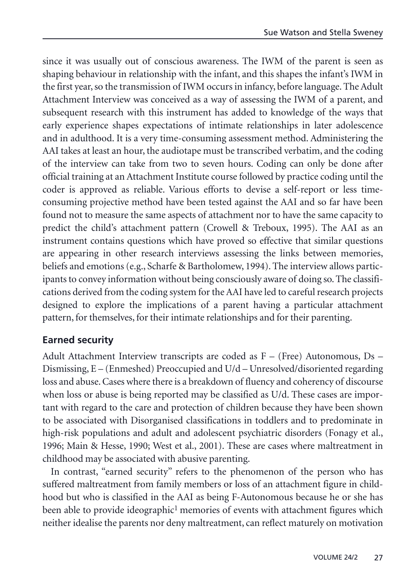since it was usually out of conscious awareness. The IWM of the parent is seen as shaping behaviour in relationship with the infant, and this shapes the infant's IWM in the first year, so the transmission of IWM occurs in infancy, before language. The Adult Attachment Interview was conceived as a way of assessing the IWM of a parent, and subsequent research with this instrument has added to knowledge of the ways that early experience shapes expectations of intimate relationships in later adolescence and in adulthood. It is a very time-consuming assessment method. Administering the AAI takes at least an hour, the audiotape must be transcribed verbatim, and the coding of the interview can take from two to seven hours. Coding can only be done after official training at an Attachment Institute course followed by practice coding until the coder is approved as reliable. Various efforts to devise a self-report or less timeconsuming projective method have been tested against the AAI and so far have been found not to measure the same aspects of attachment nor to have the same capacity to predict the child's attachment pattern (Crowell & Treboux, 1995). The AAI as an instrument contains questions which have proved so effective that similar questions are appearing in other research interviews assessing the links between memories, beliefs and emotions (e.g., Scharfe & Bartholomew, 1994). The interview allows participants to convey information without being consciously aware of doing so. The classifications derived from the coding system for the AAI have led to careful research projects designed to explore the implications of a parent having a particular attachment pattern, for themselves, for their intimate relationships and for their parenting.

#### **Earned security**

Adult Attachment Interview transcripts are coded as F – (Free) Autonomous, Ds – Dismissing, E – (Enmeshed) Preoccupied and U/d – Unresolved/disoriented regarding loss and abuse. Cases where there is a breakdown of fluency and coherency of discourse when loss or abuse is being reported may be classified as U/d. These cases are important with regard to the care and protection of children because they have been shown to be associated with Disorganised classifications in toddlers and to predominate in high-risk populations and adult and adolescent psychiatric disorders (Fonagy et al., 1996; Main & Hesse, 1990; West et al., 2001). These are cases where maltreatment in childhood may be associated with abusive parenting.

In contrast, "earned security" refers to the phenomenon of the person who has suffered maltreatment from family members or loss of an attachment figure in childhood but who is classified in the AAI as being F-Autonomous because he or she has been able to provide ideographic<sup>1</sup> memories of events with attachment figures which neither idealise the parents nor deny maltreatment, can reflect maturely on motivation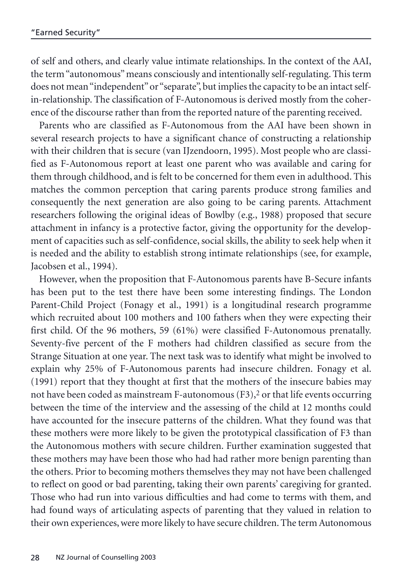of self and others, and clearly value intimate relationships. In the context of the AAI, the term "autonomous" means consciously and intentionally self-regulating. This term does not mean "independent" or "separate", but implies the capacity to be an intact selfin-relationship. The classification of F-Autonomous is derived mostly from the coherence of the discourse rather than from the reported nature of the parenting received.

Parents who are classified as F-Autonomous from the AAI have been shown in several research projects to have a significant chance of constructing a relationship with their children that is secure (van IJzendoorn, 1995). Most people who are classified as F-Autonomous report at least one parent who was available and caring for them through childhood, and is felt to be concerned for them even in adulthood. This matches the common perception that caring parents produce strong families and consequently the next generation are also going to be caring parents. Attachment researchers following the original ideas of Bowlby (e.g., 1988) proposed that secure attachment in infancy is a protective factor, giving the opportunity for the development of capacities such as self-confidence, social skills, the ability to seek help when it is needed and the ability to establish strong intimate relationships (see, for example, Jacobsen et al., 1994).

However, when the proposition that F-Autonomous parents have B-Secure infants has been put to the test there have been some interesting findings. The London Parent-Child Project (Fonagy et al., 1991) is a longitudinal research programme which recruited about 100 mothers and 100 fathers when they were expecting their first child. Of the 96 mothers, 59 (61%) were classified F-Autonomous prenatally. Seventy-five percent of the F mothers had children classified as secure from the Strange Situation at one year. The next task was to identify what might be involved to explain why 25% of F-Autonomous parents had insecure children. Fonagy et al. (1991) report that they thought at first that the mothers of the insecure babies may not have been coded as mainstream F-autonomous (F3),<sup>2</sup> or that life events occurring between the time of the interview and the assessing of the child at 12 months could have accounted for the insecure patterns of the children. What they found was that these mothers were more likely to be given the prototypical classification of F3 than the Autonomous mothers with secure children. Further examination suggested that these mothers may have been those who had had rather more benign parenting than the others. Prior to becoming mothers themselves they may not have been challenged to reflect on good or bad parenting, taking their own parents' caregiving for granted. Those who had run into various difficulties and had come to terms with them, and had found ways of articulating aspects of parenting that they valued in relation to their own experiences, were more likely to have secure children. The term Autonomous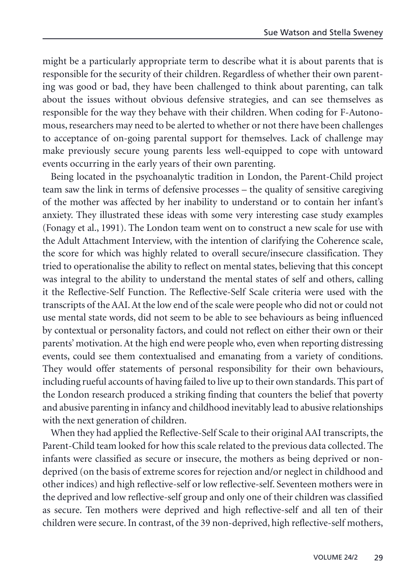might be a particularly appropriate term to describe what it is about parents that is responsible for the security of their children. Regardless of whether their own parenting was good or bad, they have been challenged to think about parenting, can talk about the issues without obvious defensive strategies, and can see themselves as responsible for the way they behave with their children. When coding for F-Autonomous, researchers may need to be alerted to whether or not there have been challenges to acceptance of on-going parental support for themselves. Lack of challenge may make previously secure young parents less well-equipped to cope with untoward events occurring in the early years of their own parenting.

Being located in the psychoanalytic tradition in London, the Parent-Child project team saw the link in terms of defensive processes – the quality of sensitive caregiving of the mother was affected by her inability to understand or to contain her infant's anxiety. They illustrated these ideas with some very interesting case study examples (Fonagy et al., 1991). The London team went on to construct a new scale for use with the Adult Attachment Interview, with the intention of clarifying the Coherence scale, the score for which was highly related to overall secure/insecure classification. They tried to operationalise the ability to reflect on mental states, believing that this concept was integral to the ability to understand the mental states of self and others, calling it the Reflective-Self Function. The Reflective-Self Scale criteria were used with the transcripts of the AAI. At the low end of the scale were people who did not or could not use mental state words, did not seem to be able to see behaviours as being influenced by contextual or personality factors, and could not reflect on either their own or their parents' motivation. At the high end were people who, even when reporting distressing events, could see them contextualised and emanating from a variety of conditions. They would offer statements of personal responsibility for their own behaviours, including rueful accounts of having failed to live up to their own standards. This part of the London research produced a striking finding that counters the belief that poverty and abusive parenting in infancy and childhood inevitably lead to abusive relationships with the next generation of children.

When they had applied the Reflective-Self Scale to their original AAI transcripts, the Parent-Child team looked for how this scale related to the previous data collected. The infants were classified as secure or insecure, the mothers as being deprived or nondeprived (on the basis of extreme scores for rejection and/or neglect in childhood and other indices) and high reflective-self or low reflective-self. Seventeen mothers were in the deprived and low reflective-self group and only one of their children was classified as secure. Ten mothers were deprived and high reflective-self and all ten of their children were secure. In contrast, of the 39 non-deprived, high reflective-self mothers,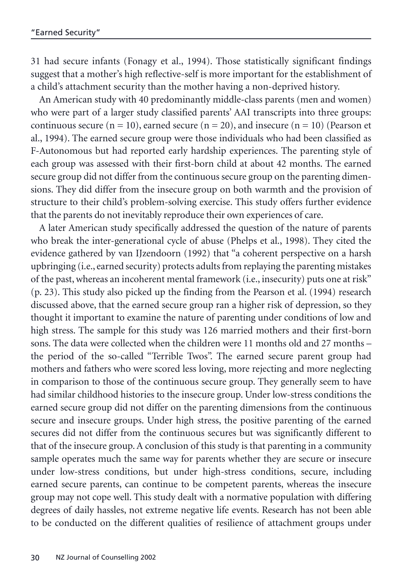31 had secure infants (Fonagy et al., 1994). Those statistically significant findings suggest that a mother's high reflective-self is more important for the establishment of a child's attachment security than the mother having a non-deprived history.

An American study with 40 predominantly middle-class parents (men and women) who were part of a larger study classified parents' AAI transcripts into three groups: continuous secure ( $n = 10$ ), earned secure ( $n = 20$ ), and insecure ( $n = 10$ ) (Pearson et al., 1994). The earned secure group were those individuals who had been classified as F-Autonomous but had reported early hardship experiences. The parenting style of each group was assessed with their first-born child at about 42 months. The earned secure group did not differ from the continuous secure group on the parenting dimensions. They did differ from the insecure group on both warmth and the provision of structure to their child's problem-solving exercise. This study offers further evidence that the parents do not inevitably reproduce their own experiences of care.

A later American study specifically addressed the question of the nature of parents who break the inter-generational cycle of abuse (Phelps et al., 1998). They cited the evidence gathered by van IJzendoorn (1992) that "a coherent perspective on a harsh upbringing (i.e., earned security) protects adults from replaying the parenting mistakes of the past, whereas an incoherent mental framework (i.e., insecurity) puts one at risk" (p. 23). This study also picked up the finding from the Pearson et al. (1994) research discussed above, that the earned secure group ran a higher risk of depression, so they thought it important to examine the nature of parenting under conditions of low and high stress. The sample for this study was 126 married mothers and their first-born sons. The data were collected when the children were 11 months old and 27 months – the period of the so-called "Terrible Twos". The earned secure parent group had mothers and fathers who were scored less loving, more rejecting and more neglecting in comparison to those of the continuous secure group. They generally seem to have had similar childhood histories to the insecure group. Under low-stress conditions the earned secure group did not differ on the parenting dimensions from the continuous secure and insecure groups. Under high stress, the positive parenting of the earned secures did not differ from the continuous secures but was significantly different to that of the insecure group. A conclusion of this study is that parenting in a community sample operates much the same way for parents whether they are secure or insecure under low-stress conditions, but under high-stress conditions, secure, including earned secure parents, can continue to be competent parents, whereas the insecure group may not cope well. This study dealt with a normative population with differing degrees of daily hassles, not extreme negative life events. Research has not been able to be conducted on the different qualities of resilience of attachment groups under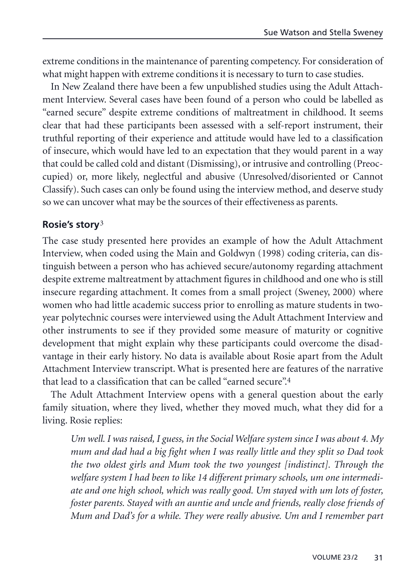extreme conditions in the maintenance of parenting competency. For consideration of what might happen with extreme conditions it is necessary to turn to case studies.

In New Zealand there have been a few unpublished studies using the Adult Attachment Interview. Several cases have been found of a person who could be labelled as "earned secure" despite extreme conditions of maltreatment in childhood. It seems clear that had these participants been assessed with a self-report instrument, their truthful reporting of their experience and attitude would have led to a classification of insecure, which would have led to an expectation that they would parent in a way that could be called cold and distant (Dismissing), or intrusive and controlling (Preoccupied) or, more likely, neglectful and abusive (Unresolved/disoriented or Cannot Classify). Such cases can only be found using the interview method, and deserve study so we can uncover what may be the sources of their effectiveness as parents.

## **Rosie's story**3

The case study presented here provides an example of how the Adult Attachment Interview, when coded using the Main and Goldwyn (1998) coding criteria, can distinguish between a person who has achieved secure/autonomy regarding attachment despite extreme maltreatment by attachment figures in childhood and one who is still insecure regarding attachment. It comes from a small project (Sweney, 2000) where women who had little academic success prior to enrolling as mature students in twoyear polytechnic courses were interviewed using the Adult Attachment Interview and other instruments to see if they provided some measure of maturity or cognitive development that might explain why these participants could overcome the disadvantage in their early history. No data is available about Rosie apart from the Adult Attachment Interview transcript. What is presented here are features of the narrative that lead to a classification that can be called "earned secure".4

The Adult Attachment Interview opens with a general question about the early family situation, where they lived, whether they moved much, what they did for a living. Rosie replies:

*Um well. I was raised, I guess, in the Social Welfare system since I was about 4. My mum and dad had a big fight when I was really little and they split so Dad took the two oldest girls and Mum took the two youngest [indistinct]. Through the welfare system I had been to like 14 different primary schools, um one intermediate and one high school, which was really good. Um stayed with um lots of foster, foster parents. Stayed with an auntie and uncle and friends, really close friends of Mum and Dad's for a while. They were really abusive. Um and I remember part*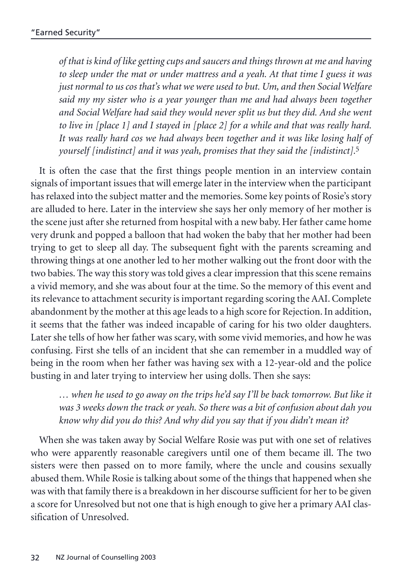*of that is kind of like getting cups and saucers and things thrown at me and having to sleep under the mat or under mattress and a yeah. At that time I guess it was just normal to us cos that's what we were used to but. Um, and then Social Welfare said my my sister who is a year younger than me and had always been together and Social Welfare had said they would never split us but they did. And she went to live in [place 1] and I stayed in [place 2] for a while and that was really hard. It was really hard cos we had always been together and it was like losing half of yourself [indistinct] and it was yeah, promises that they said the [indistinct].*5

It is often the case that the first things people mention in an interview contain signals of important issues that will emerge later in the interview when the participant has relaxed into the subject matter and the memories. Some key points of Rosie's story are alluded to here. Later in the interview she says her only memory of her mother is the scene just after she returned from hospital with a new baby. Her father came home very drunk and popped a balloon that had woken the baby that her mother had been trying to get to sleep all day. The subsequent fight with the parents screaming and throwing things at one another led to her mother walking out the front door with the two babies. The way this story was told gives a clear impression that this scene remains a vivid memory, and she was about four at the time. So the memory of this event and its relevance to attachment security is important regarding scoring the AAI. Complete abandonment by the mother at this age leads to a high score for Rejection. In addition, it seems that the father was indeed incapable of caring for his two older daughters. Later she tells of how her father was scary, with some vivid memories, and how he was confusing. First she tells of an incident that she can remember in a muddled way of being in the room when her father was having sex with a 12-year-old and the police busting in and later trying to interview her using dolls. Then she says:

*… when he used to go away on the trips he'd say I'll be back tomorrow. But like it was 3 weeks down the track or yeah. So there was a bit of confusion about dah you know why did you do this? And why did you say that if you didn't mean it?*

When she was taken away by Social Welfare Rosie was put with one set of relatives who were apparently reasonable caregivers until one of them became ill. The two sisters were then passed on to more family, where the uncle and cousins sexually abused them. While Rosie is talking about some of the things that happened when she was with that family there is a breakdown in her discourse sufficient for her to be given a score for Unresolved but not one that is high enough to give her a primary AAI classification of Unresolved.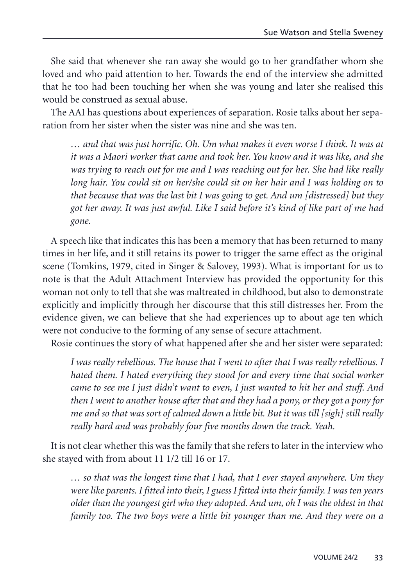She said that whenever she ran away she would go to her grandfather whom she loved and who paid attention to her. Towards the end of the interview she admitted that he too had been touching her when she was young and later she realised this would be construed as sexual abuse.

The AAI has questions about experiences of separation. Rosie talks about her separation from her sister when the sister was nine and she was ten.

*… and that was just horrific. Oh. Um what makes it even worse I think. It was at it was a Maori worker that came and took her. You know and it was like, and she was trying to reach out for me and I was reaching out for her. She had like really long hair. You could sit on her/she could sit on her hair and I was holding on to that because that was the last bit I was going to get. And um [distressed] but they got her away. It was just awful. Like I said before it's kind of like part of me had gone.*

A speech like that indicates this has been a memory that has been returned to many times in her life, and it still retains its power to trigger the same effect as the original scene (Tomkins, 1979, cited in Singer & Salovey, 1993). What is important for us to note is that the Adult Attachment Interview has provided the opportunity for this woman not only to tell that she was maltreated in childhood, but also to demonstrate explicitly and implicitly through her discourse that this still distresses her. From the evidence given, we can believe that she had experiences up to about age ten which were not conducive to the forming of any sense of secure attachment.

Rosie continues the story of what happened after she and her sister were separated:

*I was really rebellious. The house that I went to after that I was really rebellious. I hated them. I hated everything they stood for and every time that social worker came to see me I just didn't want to even, I just wanted to hit her and stuff. And then I went to another house after that and they had a pony, or they got a pony for me and so that was sort of calmed down a little bit. But it was till [sigh] still really really hard and was probably four five months down the track. Yeah.*

It is not clear whether this was the family that she refers to later in the interview who she stayed with from about 11 1/2 till 16 or 17.

*… so that was the longest time that I had, that I ever stayed anywhere. Um they were like parents. I fitted into their, I guess I fitted into their family. I was ten years older than the youngest girl who they adopted. And um, oh I was the oldest in that family too. The two boys were a little bit younger than me. And they were on a*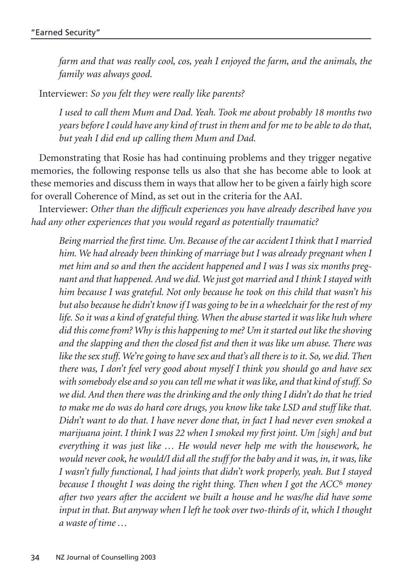*farm and that was really cool, cos, yeah I enjoyed the farm, and the animals, the family was always good.*

Interviewer: *So you felt they were really like parents?*

*I used to call them Mum and Dad. Yeah. Took me about probably 18 months two years before I could have any kind of trust in them and for me to be able to do that, but yeah I did end up calling them Mum and Dad.*

Demonstrating that Rosie has had continuing problems and they trigger negative memories, the following response tells us also that she has become able to look at these memories and discuss them in ways that allow her to be given a fairly high score for overall Coherence of Mind, as set out in the criteria for the AAI.

Interviewer: *Other than the difficult experiences you have already described have you had any other experiences that you would regard as potentially traumatic?*

*Being married the first time. Um. Because of the car accident I think that I married him. We had already been thinking of marriage but I was already pregnant when I met him and so and then the accident happened and I was I was six months pregnant and that happened. And we did. We just got married and I think I stayed with him because I was grateful. Not only because he took on this child that wasn't his but also because he didn't know if I was going to be in a wheelchair for the rest of my life. So it was a kind of grateful thing. When the abuse started it was like huh where did this come from? Why is this happening to me? Um it started out like the shoving and the slapping and then the closed fist and then it was like um abuse. There was like the sex stuff. We're going to have sex and that's all there is to it. So, we did. Then there was, I don't feel very good about myself I think you should go and have sex with somebody else and so you can tell me what it was like, and that kind of stuff. So we did. And then there was the drinking and the only thing I didn't do that he tried to make me do was do hard core drugs, you know like take LSD and stuff like that. Didn't want to do that. I have never done that, in fact I had never even smoked a marijuana joint. I think I was 22 when I smoked my first joint. Um [sigh] and but everything it was just like … He would never help me with the housework, he would never cook, he would/I did all the stuff for the baby and it was, in, it was, like I wasn't fully functional, I had joints that didn't work properly, yeah. But I stayed because I thought I was doing the right thing. Then when I got the ACC*6 *money after two years after the accident we built a house and he was/he did have some input in that. But anyway when I left he took over two-thirds of it, which I thought a waste of time …*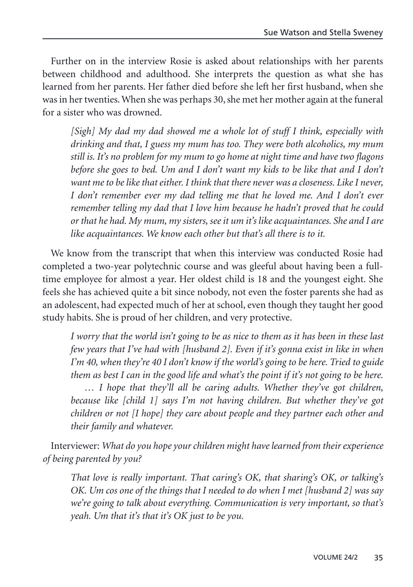Further on in the interview Rosie is asked about relationships with her parents between childhood and adulthood. She interprets the question as what she has learned from her parents. Her father died before she left her first husband, when she was in her twenties. When she was perhaps 30, she met her mother again at the funeral for a sister who was drowned.

*[Sigh] My dad my dad showed me a whole lot of stuff I think, especially with drinking and that, I guess my mum has too. They were both alcoholics, my mum still is. It's no problem for my mum to go home at night time and have two flagons before she goes to bed. Um and I don't want my kids to be like that and I don't want me to be like that either. I think that there never was a closeness. Like I never, I don't remember ever my dad telling me that he loved me. And I don't ever remember telling my dad that I love him because he hadn't proved that he could or that he had. My mum, my sisters, see it um it's like acquaintances. She and I are like acquaintances. We know each other but that's all there is to it.*

We know from the transcript that when this interview was conducted Rosie had completed a two-year polytechnic course and was gleeful about having been a fulltime employee for almost a year. Her oldest child is 18 and the youngest eight. She feels she has achieved quite a bit since nobody, not even the foster parents she had as an adolescent, had expected much of her at school, even though they taught her good study habits. She is proud of her children, and very protective.

*I worry that the world isn't going to be as nice to them as it has been in these last few years that I've had with [husband 2]. Even if it's gonna exist in like in when I'm 40, when they're 40 I don't know if the world's going to be here. Tried to guide them as best I can in the good life and what's the point if it's not going to be here.*

*… I hope that they'll all be caring adults. Whether they've got children, because like [child 1] says I'm not having children. But whether they've got children or not [I hope] they care about people and they partner each other and their family and whatever.*

Interviewer: *What do you hope your children might have learned from their experience of being parented by you?*

*That love is really important. That caring's OK, that sharing's OK, or talking's OK. Um cos one of the things that I needed to do when I met [husband 2] was say we're going to talk about everything. Communication is very important, so that's yeah. Um that it's that it's OK just to be you.*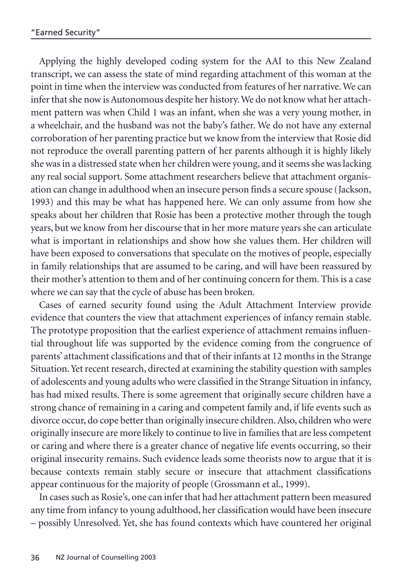Applying the highly developed coding system for the AAI to this New Zealand transcript, we can assess the state of mind regarding attachment of this woman at the point in time when the interview was conducted from features of her narrative. We can infer that she now is Autonomous despite her history. We do not know what her attachment pattern was when Child 1 was an infant, when she was a very young mother, in a wheelchair, and the husband was not the baby's father. We do not have any external corroboration of her parenting practice but we know from the interview that Rosie did not reproduce the overall parenting pattern of her parents although it is highly likely she was in a distressed state when her children were young, and it seems she was lacking any real social support. Some attachment researchers believe that attachment organisation can change in adulthood when an insecure person finds a secure spouse (Jackson, 1993) and this may be what has happened here. We can only assume from how she speaks about her children that Rosie has been a protective mother through the tough years, but we know from her discourse that in her more mature years she can articulate what is important in relationships and show how she values them. Her children will have been exposed to conversations that speculate on the motives of people, especially in family relationships that are assumed to be caring, and will have been reassured by their mother's attention to them and of her continuing concern for them. This is a case where we can say that the cycle of abuse has been broken.

Cases of earned security found using the Adult Attachment Interview provide evidence that counters the view that attachment experiences of infancy remain stable. The prototype proposition that the earliest experience of attachment remains influential throughout life was supported by the evidence coming from the congruence of parents' attachment classifications and that of their infants at 12 months in the Strange Situation. Yet recent research, directed at examining the stability question with samples of adolescents and young adults who were classified in the Strange Situation in infancy, has had mixed results. There is some agreement that originally secure children have a strong chance of remaining in a caring and competent family and, if life events such as divorce occur, do cope better than originally insecure children. Also, children who were originally insecure are more likely to continue to live in families that are less competent or caring and where there is a greater chance of negative life events occurring, so their original insecurity remains. Such evidence leads some theorists now to argue that it is because contexts remain stably secure or insecure that attachment classifications appear continuous for the majority of people (Grossmann et al., 1999).

In cases such as Rosie's, one can infer that had her attachment pattern been measured any time from infancy to young adulthood, her classification would have been insecure – possibly Unresolved. Yet, she has found contexts which have countered her original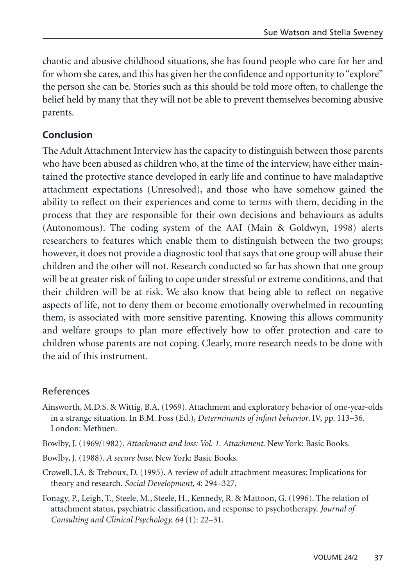chaotic and abusive childhood situations, she has found people who care for her and for whom she cares, and this has given her the confidence and opportunity to "explore" the person she can be. Stories such as this should be told more often, to challenge the belief held by many that they will not be able to prevent themselves becoming abusive parents.

## **Conclusion**

The Adult Attachment Interview has the capacity to distinguish between those parents who have been abused as children who, at the time of the interview, have either maintained the protective stance developed in early life and continue to have maladaptive attachment expectations (Unresolved), and those who have somehow gained the ability to reflect on their experiences and come to terms with them, deciding in the process that they are responsible for their own decisions and behaviours as adults (Autonomous). The coding system of the AAI (Main & Goldwyn, 1998) alerts researchers to features which enable them to distinguish between the two groups; however, it does not provide a diagnostic tool that says that one group will abuse their children and the other will not. Research conducted so far has shown that one group will be at greater risk of failing to cope under stressful or extreme conditions, and that their children will be at risk. We also know that being able to reflect on negative aspects of life, not to deny them or become emotionally overwhelmed in recounting them, is associated with more sensitive parenting. Knowing this allows community and welfare groups to plan more effectively how to offer protection and care to children whose parents are not coping. Clearly, more research needs to be done with the aid of this instrument.

#### References

- Ainsworth, M.D.S. & Wittig, B.A. (1969). Attachment and exploratory behavior of one-year-olds in a strange situation. In B.M. Foss (Ed.), *Determinants of infant behavior*. IV, pp. 113–36. London: Methuen.
- Bowlby, J. (1969/1982). *Attachment and loss: Vol. 1. Attachment.* New York: Basic Books.
- Bowlby, J. (1988). *A secure base*. New York: Basic Books.
- Crowell, J.A. & Treboux, D. (1995). A review of adult attachment measures: Implications for theory and research. *Social Development, 4*: 294–327.
- Fonagy, P., Leigh, T., Steele, M., Steele, H., Kennedy, R. & Mattoon, G. (1996). The relation of attachment status, psychiatric classification, and response to psychotherapy. *Journal of Consulting and Clinical Psychology, 64* (1): 22–31.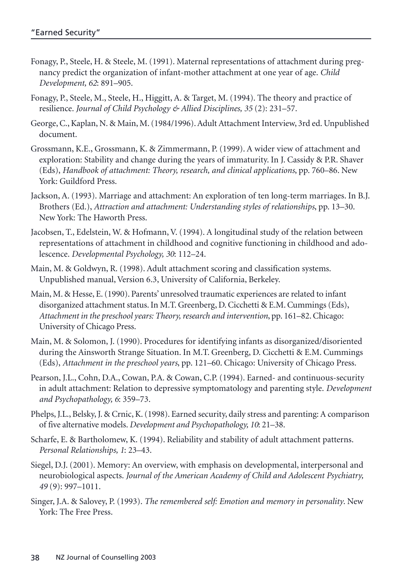- Fonagy, P., Steele, H. & Steele, M. (1991). Maternal representations of attachment during pregnancy predict the organization of infant-mother attachment at one year of age. *Child Development, 62*: 891–905.
- Fonagy, P., Steele, M., Steele, H., Higgitt, A. & Target, M. (1994). The theory and practice of resilience. *Journal of Child Psychology & Allied Disciplines, 35* (2): 231–57.
- George, C., Kaplan, N. & Main, M. (1984/1996). Adult Attachment Interview, 3rd ed. Unpublished document.
- Grossmann, K.E., Grossmann, K. & Zimmermann, P. (1999). A wider view of attachment and exploration: Stability and change during the years of immaturity. In J. Cassidy & P.R. Shaver (Eds), *Handbook of attachment: Theory, research, and clinical applications*, pp. 760–86. New York: Guildford Press.
- Jackson, A. (1993). Marriage and attachment: An exploration of ten long-term marriages. In B.J. Brothers (Ed.), *Attraction and attachment: Understanding styles of relationships*, pp. 13–30. New York: The Haworth Press.
- Jacobsen, T., Edelstein, W. & Hofmann, V. (1994). A longitudinal study of the relation between representations of attachment in childhood and cognitive functioning in childhood and adolescence. *Developmental Psychology, 30*: 112–24.
- Main, M. & Goldwyn, R. (1998). Adult attachment scoring and classification systems. Unpublished manual, Version 6.3, University of California, Berkeley.
- Main, M. & Hesse, E. (1990). Parents' unresolved traumatic experiences are related to infant disorganized attachment status. In M.T. Greenberg, D. Cicchetti & E.M. Cummings (Eds), *Attachment in the preschool years: Theory, research and intervention*, pp. 161–82. Chicago: University of Chicago Press.
- Main, M. & Solomon, J. (1990). Procedures for identifying infants as disorganized/disoriented during the Ainsworth Strange Situation. In M.T. Greenberg, D. Cicchetti & E.M. Cummings (Eds), *Attachment in the preschool years*, pp. 121–60. Chicago: University of Chicago Press.
- Pearson, J.L., Cohn, D.A., Cowan, P.A. & Cowan, C.P. (1994). Earned- and continuous-security in adult attachment: Relation to depressive symptomatology and parenting style. *Development and Psychopathology, 6*: 359–73.
- Phelps, J.L., Belsky, J. & Crnic, K. (1998). Earned security, daily stress and parenting: A comparison of five alternative models. *Development and Psychopathology, 10*: 21–38.
- Scharfe, E. & Bartholomew, K. (1994). Reliability and stability of adult attachment patterns. *Personal Relationships, 1*: 23–43.
- Siegel, D.J. (2001). Memory: An overview, with emphasis on developmental, interpersonal and neurobiological aspects. *Journal of the American Academy of Child and Adolescent Psychiatry, 49* (9): 997–1011.
- Singer, J.A. & Salovey, P. (1993). *The remembered self: Emotion and memory in personality*. New York: The Free Press.